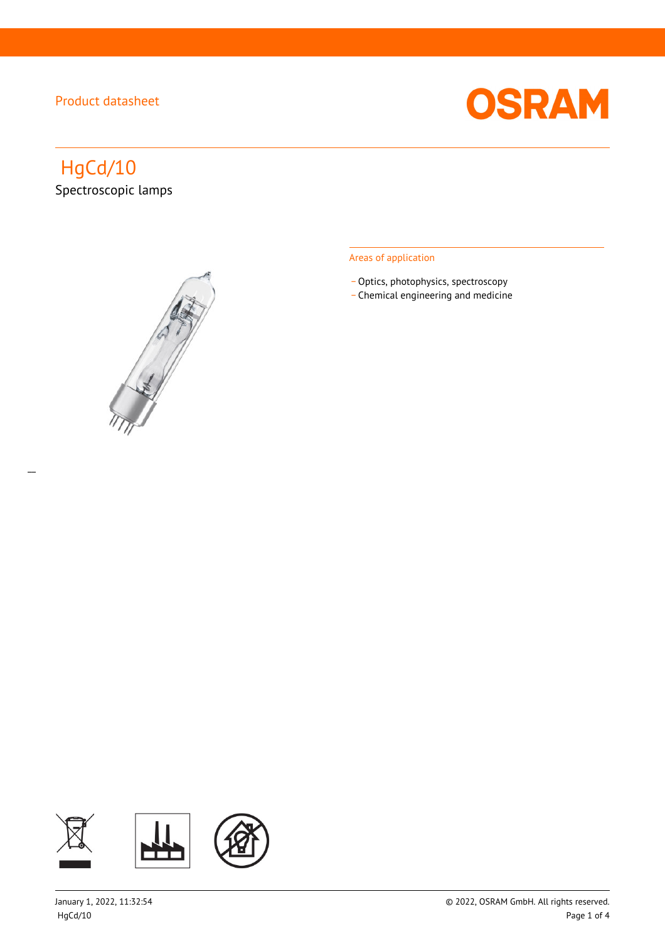

# HgCd/10 Spectroscopic lamps

 $\overline{a}$ 



#### Areas of application

- Optics, photophysics, spectroscopy
- \_ Chemical engineering and medicine

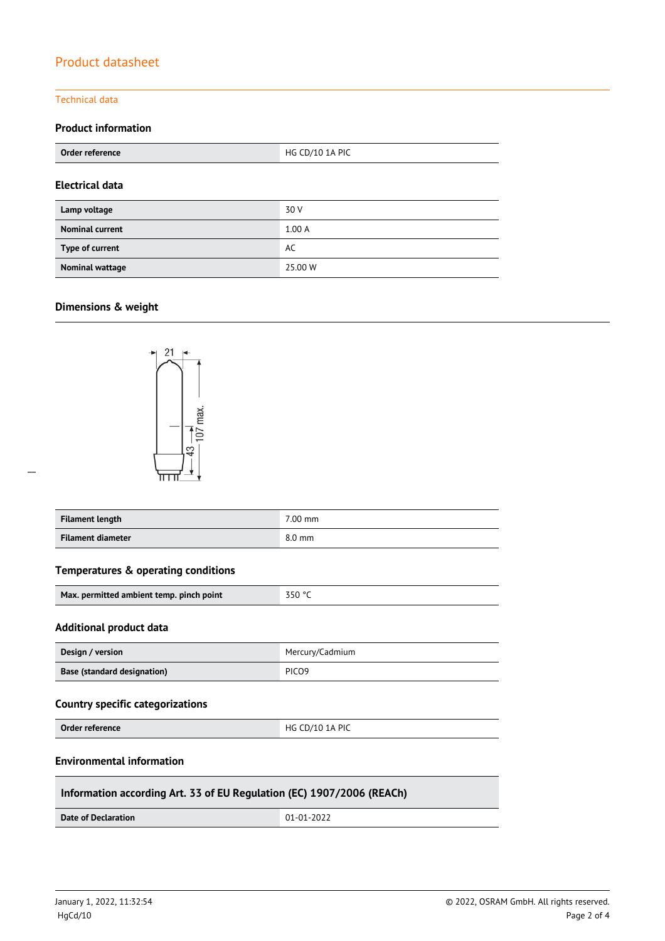#### Technical data

### **Product information**

| Order reference        | HG CD/10 1A PIC |  |
|------------------------|-----------------|--|
| <b>Electrical data</b> |                 |  |
| Lamp voltage           | 30 V            |  |
| <b>Nominal current</b> | 1.00A           |  |
| Type of current        | AC              |  |
| <b>Nominal wattage</b> | 25,00 W         |  |

#### **Dimensions & weight**



| Filament length   | 7.00 mm          |
|-------------------|------------------|
| Filament diameter | $8.0 \text{ mm}$ |

#### **Temperatures & operating conditions**

|  | Max. permitted ambient temp. pinch point | $-350$ °C |
|--|------------------------------------------|-----------|
|--|------------------------------------------|-----------|

#### **Additional product data**

| Design / version            | Mercury/Cadmium   |  |
|-----------------------------|-------------------|--|
| Base (standard designation) | PICO <sub>9</sub> |  |

#### **Country specific categorizations**

**Order reference HG CD/10 1A PIC** 

#### **Environmental information**

#### **Information according Art. 33 of EU Regulation (EC) 1907/2006 (REACh)**

**Date of Declaration**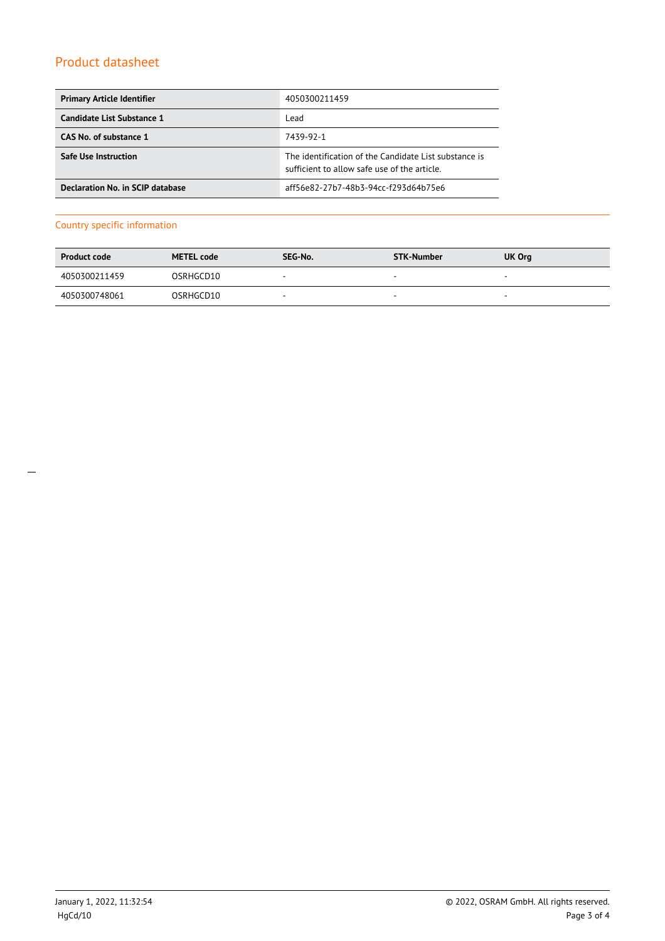| <b>Primary Article Identifier</b> | 4050300211459                                                                                         |
|-----------------------------------|-------------------------------------------------------------------------------------------------------|
| Candidate List Substance 1        | Lead                                                                                                  |
| CAS No. of substance 1            | 7439-92-1                                                                                             |
| <b>Safe Use Instruction</b>       | The identification of the Candidate List substance is<br>sufficient to allow safe use of the article. |
| Declaration No. in SCIP database  | aff56e82-27b7-48b3-94cc-f293d64b75e6                                                                  |

#### Country specific information

| <b>Product code</b> | <b>METEL code</b> | SEG-No.                  | STK-Number               | UK Org                   |
|---------------------|-------------------|--------------------------|--------------------------|--------------------------|
| 4050300211459       | OSRHGCD10         | $\overline{\phantom{a}}$ | $\overline{\phantom{a}}$ | $\overline{\phantom{a}}$ |
| 4050300748061       | OSRHGCD10         | $\overline{\phantom{a}}$ | $\sim$                   | $\overline{\phantom{a}}$ |